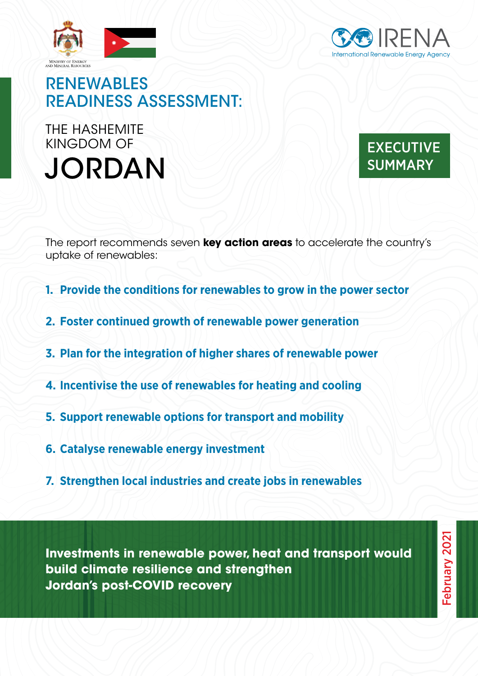



# RENEWABLES READINESS ASSESSMENT:

JORDAN SUMMARY SUMMARY THE HASHEMITE KINGDOM OF



The report recommends seven **key action areas** to accelerate the country's uptake of renewables:

- **1. Provide the conditions for renewables to grow in the power sector**
- **2. Foster continued growth of renewable power generation**
- **3. Plan for the integration of higher shares of renewable power**
- **4. Incentivise the use of renewables for heating and cooling**
- **5. Support renewable options for transport and mobility**
- **6. Catalyse renewable energy investment**
- **7. Strengthen local industries and create jobs in renewables**

**Investments in renewable power, heat and transport would build climate resilience and strengthen Jordan's post-COVID recovery**

February 2021 February 2021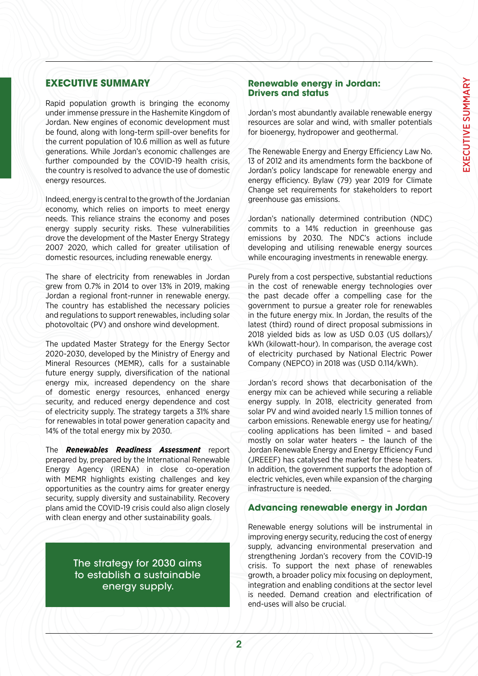## **EXECUTIVE SUMMARY**

Rapid population growth is bringing the economy under immense pressure in the Hashemite Kingdom of Jordan. New engines of economic development must be found, along with long-term spill-over benefits for the current population of 10.6 million as well as future generations. While Jordan's economic challenges are further compounded by the COVID-19 health crisis, the country is resolved to advance the use of domestic energy resources.

Indeed, energy is central to the growth of the Jordanian economy, which relies on imports to meet energy needs. This reliance strains the economy and poses energy supply security risks. These vulnerabilities drove the development of the Master Energy Strategy 2007 2020, which called for greater utilisation of domestic resources, including renewable energy.

The share of electricity from renewables in Jordan grew from 0.7% in 2014 to over 13% in 2019, making Jordan a regional front-runner in renewable energy. The country has established the necessary policies and regulations to support renewables, including solar photovoltaic (PV) and onshore wind development.

The updated Master Strategy for the Energy Sector 2020-2030, developed by the Ministry of Energy and Mineral Resources (MEMR), calls for a sustainable future energy supply, diversification of the national energy mix, increased dependency on the share of domestic energy resources, enhanced energy security, and reduced energy dependence and cost of electricity supply. The strategy targets a 31% share for renewables in total power generation capacity and 14% of the total energy mix by 2030.

The *Renewables Readiness Assessment* report prepared by, prepared by the International Renewable Energy Agency (IRENA) in close co-operation with MEMR highlights existing challenges and key opportunities as the country aims for greater energy security, supply diversity and sustainability. Recovery plans amid the COVID-19 crisis could also align closely with clean energy and other sustainability goals.

> The strategy for 2030 aims to establish a sustainable energy supply.

### **Renewable energy in Jordan: Drivers and status**

Jordan's most abundantly available renewable energy resources are solar and wind, with smaller potentials for bioenergy, hydropower and geothermal.

The Renewable Energy and Energy Efficiency Law No. 13 of 2012 and its amendments form the backbone of Jordan's policy landscape for renewable energy and energy efficiency. Bylaw (79) year 2019 for Climate Change set requirements for stakeholders to report greenhouse gas emissions.

Jordan's nationally determined contribution (NDC) commits to a 14% reduction in greenhouse gas emissions by 2030. The NDC's actions include developing and utilising renewable energy sources while encouraging investments in renewable energy.

Purely from a cost perspective, substantial reductions in the cost of renewable energy technologies over the past decade offer a compelling case for the government to pursue a greater role for renewables in the future energy mix. In Jordan, the results of the latest (third) round of direct proposal submissions in 2018 yielded bids as low as USD 0.03 (US dollars)/ kWh (kilowatt-hour). In comparison, the average cost of electricity purchased by National Electric Power Company (NEPCO) in 2018 was (USD 0.114/kWh).

Jordan's record shows that decarbonisation of the energy mix can be achieved while securing a reliable energy supply. In 2018, electricity generated from solar PV and wind avoided nearly 1.5 million tonnes of carbon emissions. Renewable energy use for heating/ cooling applications has been limited – and based mostly on solar water heaters – the launch of the Jordan Renewable Energy and Energy Efficiency Fund (JREEEF) has catalysed the market for these heaters. In addition, the government supports the adoption of electric vehicles, even while expansion of the charging infrastructure is needed.

#### **Advancing renewable energy in Jordan**

Renewable energy solutions will be instrumental in improving energy security, reducing the cost of energy supply, advancing environmental preservation and strengthening Jordan's recovery from the COVID-19 crisis. To support the next phase of renewables growth, a broader policy mix focusing on deployment, integration and enabling conditions at the sector level is needed. Demand creation and electrification of end-uses will also be crucial.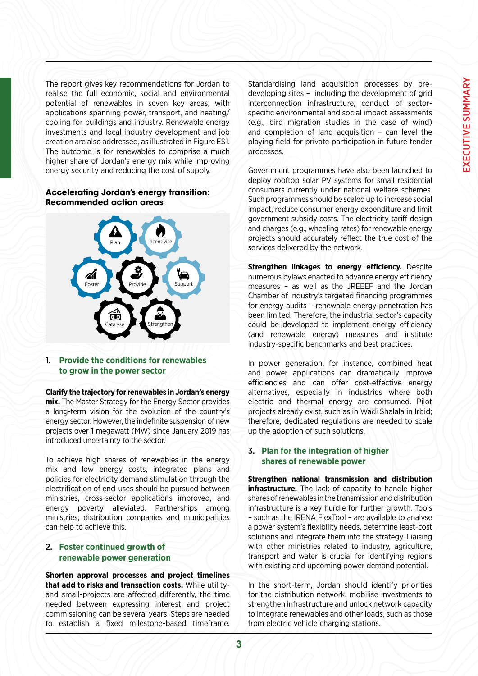The report gives key recommendations for Jordan to realise the full economic, social and environmental potential of renewables in seven key areas, with applications spanning power, transport, and heating/ cooling for buildings and industry. Renewable energy investments and local industry development and job creation are also addressed, as illustrated in Figure ES1. The outcome is for renewables to comprise a much higher share of Jordan's energy mix while improving energy security and reducing the cost of supply.

#### **Accelerating Jordan's energy transition: Recommended action areas**



#### 1. **Provide the conditions for renewables to grow in the power sector**

**Clarify the trajectory for renewables in Jordan's energy mix.** The Master Strategy for the Energy Sector provides a long-term vision for the evolution of the country's energy sector. However, the indefinite suspension of new projects over 1 megawatt (MW) since January 2019 has introduced uncertainty to the sector.

To achieve high shares of renewables in the energy mix and low energy costs, integrated plans and policies for electricity demand stimulation through the electrification of end-uses should be pursued between ministries, cross-sector applications improved, and energy poverty alleviated. Partnerships among ministries, distribution companies and municipalities can help to achieve this.

#### 2. **Foster continued growth of renewable power generation**

**Shorten approval processes and project timelines that add to risks and transaction costs.** While utilityand small-projects are affected differently, the time needed between expressing interest and project commissioning can be several years. Steps are needed to establish a fixed milestone-based timeframe.

Standardising land acquisition processes by predeveloping sites – including the development of grid interconnection infrastructure, conduct of sectorspecific environmental and social impact assessments (e.g., bird migration studies in the case of wind) and completion of land acquisition – can level the playing field for private participation in future tender processes.

Government programmes have also been launched to deploy rooftop solar PV systems for small residential consumers currently under national welfare schemes. Such programmes should be scaled up to increase social impact, reduce consumer energy expenditure and limit government subsidy costs. The electricity tariff design and charges (e.g., wheeling rates) for renewable energy projects should accurately reflect the true cost of the services delivered by the network.

**Strengthen linkages to energy efficiency.** Despite numerous bylaws enacted to advance energy efficiency measures – as well as the JREEEF and the Jordan Chamber of Industry's targeted financing programmes for energy audits – renewable energy penetration has been limited. Therefore, the industrial sector's capacity could be developed to implement energy efficiency (and renewable energy) measures and institute industry-specific benchmarks and best practices.

In power generation, for instance, combined heat and power applications can dramatically improve efficiencies and can offer cost-effective energy alternatives, especially in industries where both electric and thermal energy are consumed. Pilot projects already exist, such as in Wadi Shalala in Irbid; therefore, dedicated regulations are needed to scale up the adoption of such solutions.

#### 3. **Plan for the integration of higher shares of renewable power**

**Strengthen national transmission and distribution infrastructure.** The lack of capacity to handle higher shares of renewables in the transmission and distribution infrastructure is a key hurdle for further growth. Tools – such as the IRENA FlexTool – are available to analyse a power system's flexibility needs, determine least-cost solutions and integrate them into the strategy. Liaising with other ministries related to industry, agriculture, transport and water is crucial for identifying regions with existing and upcoming power demand potential.

In the short-term, Jordan should identify priorities for the distribution network, mobilise investments to strengthen infrastructure and unlock network capacity to integrate renewables and other loads, such as those from electric vehicle charging stations.